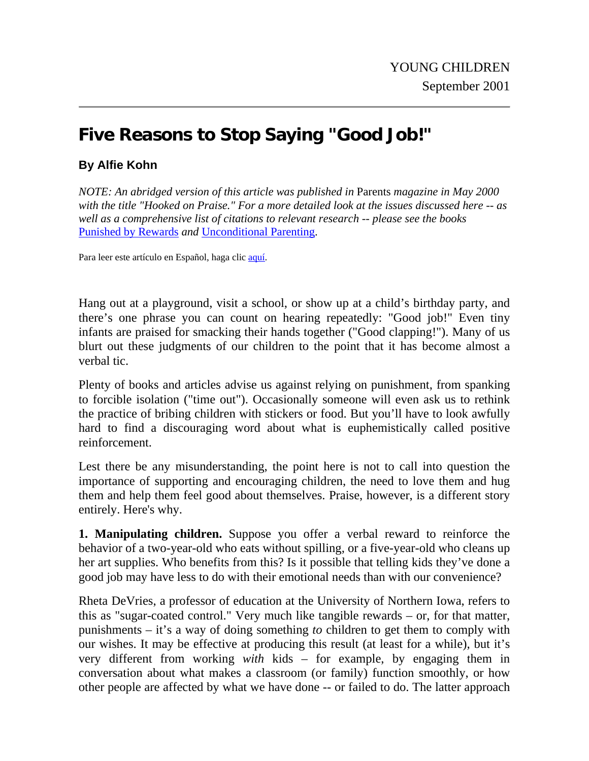## **Five Reasons to Stop Saying "Good Job!"**

## **By Alfie Kohn**

*NOTE: An abridged version of this article was published in* Parents *magazine in May 2000 with the title "Hooked on Praise." For a more detailed look at the issues discussed here -- as well as a comprehensive list of citations to relevant research -- please see the books*  Punished by Rewards *and* Unconditional Parenting.

Para leer este artículo en Español, haga clic aquí.

Hang out at a playground, visit a school, or show up at a child's birthday party, and there's one phrase you can count on hearing repeatedly: "Good job!" Even tiny infants are praised for smacking their hands together ("Good clapping!"). Many of us blurt out these judgments of our children to the point that it has become almost a verbal tic.

Plenty of books and articles advise us against relying on punishment, from spanking to forcible isolation ("time out"). Occasionally someone will even ask us to rethink the practice of bribing children with stickers or food. But you'll have to look awfully hard to find a discouraging word about what is euphemistically called positive reinforcement.

Lest there be any misunderstanding, the point here is not to call into question the importance of supporting and encouraging children, the need to love them and hug them and help them feel good about themselves. Praise, however, is a different story entirely. Here's why.

**1. Manipulating children.** Suppose you offer a verbal reward to reinforce the behavior of a two-year-old who eats without spilling, or a five-year-old who cleans up her art supplies. Who benefits from this? Is it possible that telling kids they've done a good job may have less to do with their emotional needs than with our convenience?

Rheta DeVries, a professor of education at the University of Northern Iowa, refers to this as "sugar-coated control." Very much like tangible rewards – or, for that matter, punishments – it's a way of doing something *to* children to get them to comply with our wishes. It may be effective at producing this result (at least for a while), but it's very different from working *with* kids – for example, by engaging them in conversation about what makes a classroom (or family) function smoothly, or how other people are affected by what we have done -- or failed to do. The latter approach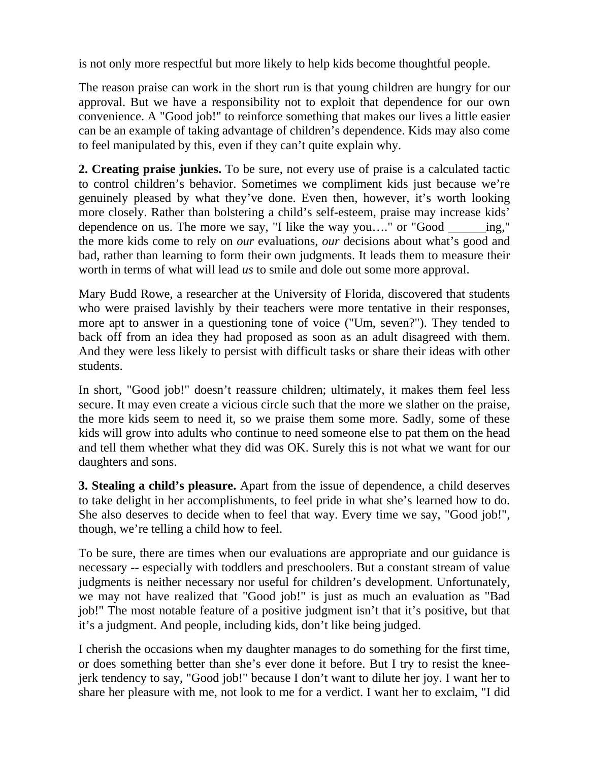is not only more respectful but more likely to help kids become thoughtful people.

The reason praise can work in the short run is that young children are hungry for our approval. But we have a responsibility not to exploit that dependence for our own convenience. A "Good job!" to reinforce something that makes our lives a little easier can be an example of taking advantage of children's dependence. Kids may also come to feel manipulated by this, even if they can't quite explain why.

**2. Creating praise junkies.** To be sure, not every use of praise is a calculated tactic to control children's behavior. Sometimes we compliment kids just because we're genuinely pleased by what they've done. Even then, however, it's worth looking more closely. Rather than bolstering a child's self-esteem, praise may increase kids' dependence on us. The more we say, "I like the way you…." or "Good \_\_\_\_\_\_ing," the more kids come to rely on *our* evaluations, *our* decisions about what's good and bad, rather than learning to form their own judgments. It leads them to measure their worth in terms of what will lead *us* to smile and dole out some more approval.

Mary Budd Rowe, a researcher at the University of Florida, discovered that students who were praised lavishly by their teachers were more tentative in their responses, more apt to answer in a questioning tone of voice ("Um, seven?"). They tended to back off from an idea they had proposed as soon as an adult disagreed with them. And they were less likely to persist with difficult tasks or share their ideas with other students.

In short, "Good job!" doesn't reassure children; ultimately, it makes them feel less secure. It may even create a vicious circle such that the more we slather on the praise, the more kids seem to need it, so we praise them some more. Sadly, some of these kids will grow into adults who continue to need someone else to pat them on the head and tell them whether what they did was OK. Surely this is not what we want for our daughters and sons.

**3. Stealing a child's pleasure.** Apart from the issue of dependence, a child deserves to take delight in her accomplishments, to feel pride in what she's learned how to do. She also deserves to decide when to feel that way. Every time we say, "Good job!", though, we're telling a child how to feel.

To be sure, there are times when our evaluations are appropriate and our guidance is necessary -- especially with toddlers and preschoolers. But a constant stream of value judgments is neither necessary nor useful for children's development. Unfortunately, we may not have realized that "Good job!" is just as much an evaluation as "Bad job!" The most notable feature of a positive judgment isn't that it's positive, but that it's a judgment. And people, including kids, don't like being judged.

I cherish the occasions when my daughter manages to do something for the first time, or does something better than she's ever done it before. But I try to resist the kneejerk tendency to say, "Good job!" because I don't want to dilute her joy. I want her to share her pleasure with me, not look to me for a verdict. I want her to exclaim, "I did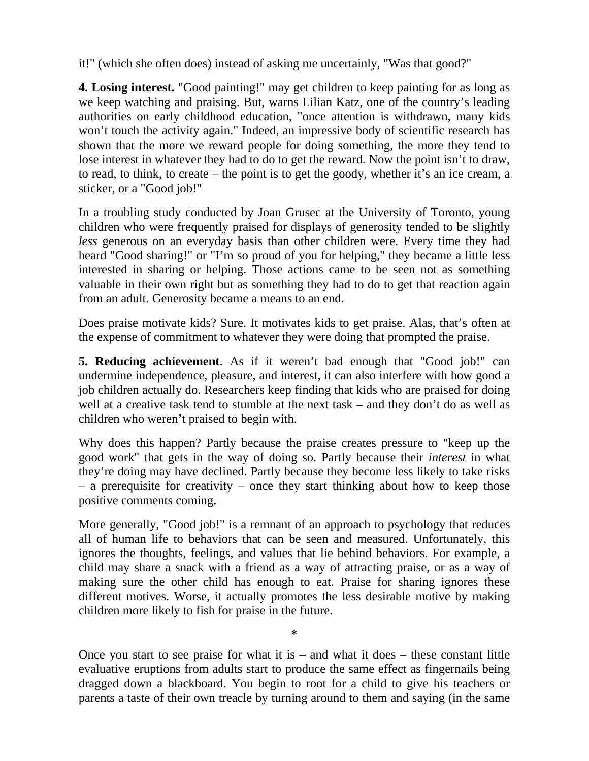it!" (which she often does) instead of asking me uncertainly, "Was that good?"

**4. Losing interest.** "Good painting!" may get children to keep painting for as long as we keep watching and praising. But, warns Lilian Katz, one of the country's leading authorities on early childhood education, "once attention is withdrawn, many kids won't touch the activity again." Indeed, an impressive body of scientific research has shown that the more we reward people for doing something, the more they tend to lose interest in whatever they had to do to get the reward. Now the point isn't to draw, to read, to think, to create – the point is to get the goody, whether it's an ice cream, a sticker, or a "Good job!"

In a troubling study conducted by Joan Grusec at the University of Toronto, young children who were frequently praised for displays of generosity tended to be slightly *less* generous on an everyday basis than other children were. Every time they had heard "Good sharing!" or "I'm so proud of you for helping," they became a little less interested in sharing or helping. Those actions came to be seen not as something valuable in their own right but as something they had to do to get that reaction again from an adult. Generosity became a means to an end.

Does praise motivate kids? Sure. It motivates kids to get praise. Alas, that's often at the expense of commitment to whatever they were doing that prompted the praise.

**5. Reducing achievement**. As if it weren't bad enough that "Good job!" can undermine independence, pleasure, and interest, it can also interfere with how good a job children actually do. Researchers keep finding that kids who are praised for doing well at a creative task tend to stumble at the next task – and they don't do as well as children who weren't praised to begin with.

Why does this happen? Partly because the praise creates pressure to "keep up the good work" that gets in the way of doing so. Partly because their *interest* in what they're doing may have declined. Partly because they become less likely to take risks – a prerequisite for creativity – once they start thinking about how to keep those positive comments coming.

More generally, "Good job!" is a remnant of an approach to psychology that reduces all of human life to behaviors that can be seen and measured. Unfortunately, this ignores the thoughts, feelings, and values that lie behind behaviors. For example, a child may share a snack with a friend as a way of attracting praise, or as a way of making sure the other child has enough to eat. Praise for sharing ignores these different motives. Worse, it actually promotes the less desirable motive by making children more likely to fish for praise in the future.

**\***

Once you start to see praise for what it is  $-$  and what it does  $-$  these constant little evaluative eruptions from adults start to produce the same effect as fingernails being dragged down a blackboard. You begin to root for a child to give his teachers or parents a taste of their own treacle by turning around to them and saying (in the same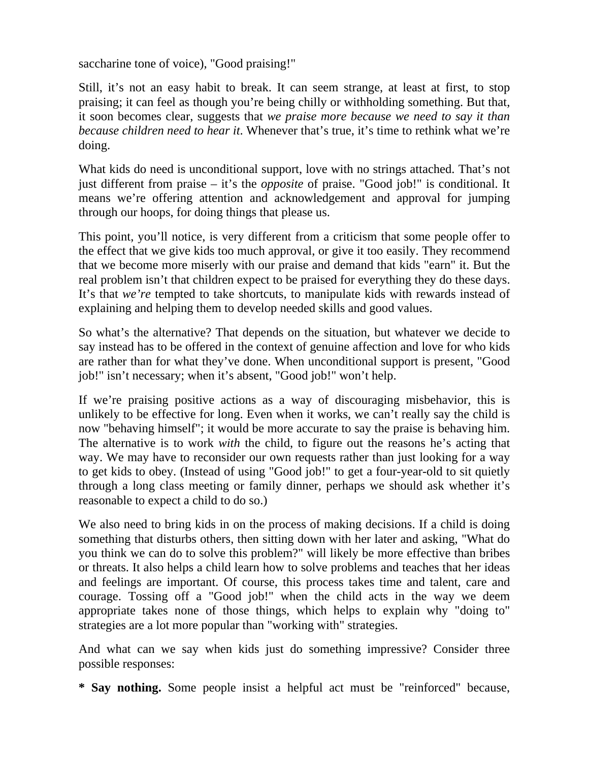saccharine tone of voice), "Good praising!"

Still, it's not an easy habit to break. It can seem strange, at least at first, to stop praising; it can feel as though you're being chilly or withholding something. But that, it soon becomes clear, suggests that *we praise more because we need to say it than because children need to hear it*. Whenever that's true, it's time to rethink what we're doing.

What kids do need is unconditional support, love with no strings attached. That's not just different from praise – it's the *opposite* of praise. "Good job!" is conditional. It means we're offering attention and acknowledgement and approval for jumping through our hoops, for doing things that please us.

This point, you'll notice, is very different from a criticism that some people offer to the effect that we give kids too much approval, or give it too easily. They recommend that we become more miserly with our praise and demand that kids "earn" it. But the real problem isn't that children expect to be praised for everything they do these days. It's that *we're* tempted to take shortcuts, to manipulate kids with rewards instead of explaining and helping them to develop needed skills and good values.

So what's the alternative? That depends on the situation, but whatever we decide to say instead has to be offered in the context of genuine affection and love for who kids are rather than for what they've done. When unconditional support is present, "Good job!" isn't necessary; when it's absent, "Good job!" won't help.

If we're praising positive actions as a way of discouraging misbehavior, this is unlikely to be effective for long. Even when it works, we can't really say the child is now "behaving himself"; it would be more accurate to say the praise is behaving him. The alternative is to work *with* the child, to figure out the reasons he's acting that way. We may have to reconsider our own requests rather than just looking for a way to get kids to obey. (Instead of using "Good job!" to get a four-year-old to sit quietly through a long class meeting or family dinner, perhaps we should ask whether it's reasonable to expect a child to do so.)

We also need to bring kids in on the process of making decisions. If a child is doing something that disturbs others, then sitting down with her later and asking, "What do you think we can do to solve this problem?" will likely be more effective than bribes or threats. It also helps a child learn how to solve problems and teaches that her ideas and feelings are important. Of course, this process takes time and talent, care and courage. Tossing off a "Good job!" when the child acts in the way we deem appropriate takes none of those things, which helps to explain why "doing to" strategies are a lot more popular than "working with" strategies.

And what can we say when kids just do something impressive? Consider three possible responses:

**\* Say nothing.** Some people insist a helpful act must be "reinforced" because,